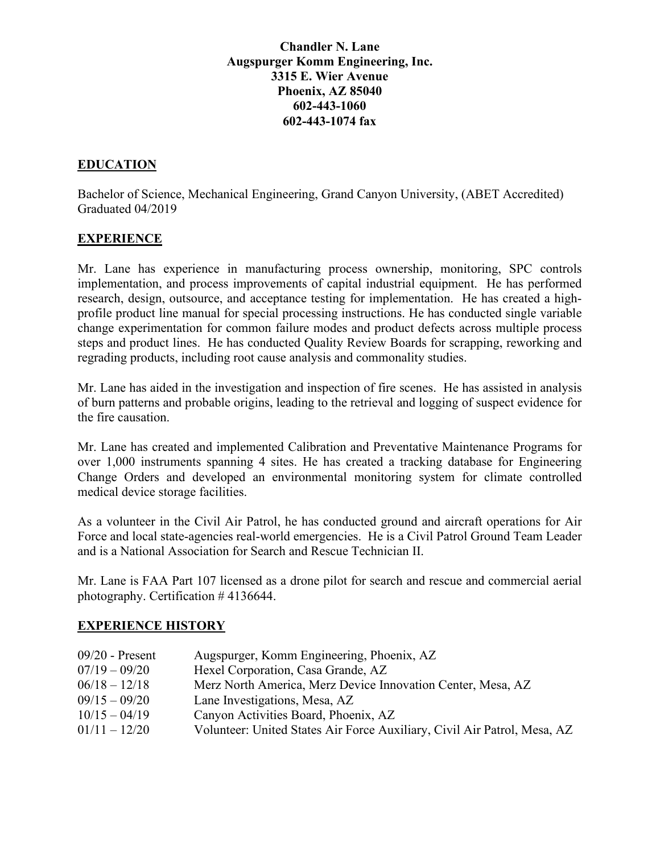### **Chandler N. Lane Augspurger Komm Engineering, Inc. 3315 E. Wier Avenue Phoenix, AZ 85040 602-443-1060 602-443-1074 fax**

# **EDUCATION**

Bachelor of Science, Mechanical Engineering, Grand Canyon University, (ABET Accredited) Graduated 04/2019

### **EXPERIENCE**

Mr. Lane has experience in manufacturing process ownership, monitoring, SPC controls implementation, and process improvements of capital industrial equipment. He has performed research, design, outsource, and acceptance testing for implementation. He has created a highprofile product line manual for special processing instructions. He has conducted single variable change experimentation for common failure modes and product defects across multiple process steps and product lines. He has conducted Quality Review Boards for scrapping, reworking and regrading products, including root cause analysis and commonality studies.

Mr. Lane has aided in the investigation and inspection of fire scenes. He has assisted in analysis of burn patterns and probable origins, leading to the retrieval and logging of suspect evidence for the fire causation.

Mr. Lane has created and implemented Calibration and Preventative Maintenance Programs for over 1,000 instruments spanning 4 sites. He has created a tracking database for Engineering Change Orders and developed an environmental monitoring system for climate controlled medical device storage facilities.

As a volunteer in the Civil Air Patrol, he has conducted ground and aircraft operations for Air Force and local state-agencies real-world emergencies. He is a Civil Patrol Ground Team Leader and is a National Association for Search and Rescue Technician II.

Mr. Lane is FAA Part 107 licensed as a drone pilot for search and rescue and commercial aerial photography. Certification # 4136644.

#### **EXPERIENCE HISTORY**

| $09/20$ - Present | Augspurger, Komm Engineering, Phoenix, AZ                                |
|-------------------|--------------------------------------------------------------------------|
| $07/19 - 09/20$   | Hexel Corporation, Casa Grande, AZ                                       |
| $06/18 - 12/18$   | Merz North America, Merz Device Innovation Center, Mesa, AZ              |
| $09/15 - 09/20$   | Lane Investigations, Mesa, AZ                                            |
| $10/15 - 04/19$   | Canyon Activities Board, Phoenix, AZ                                     |
| $01/11 - 12/20$   | Volunteer: United States Air Force Auxiliary, Civil Air Patrol, Mesa, AZ |
|                   |                                                                          |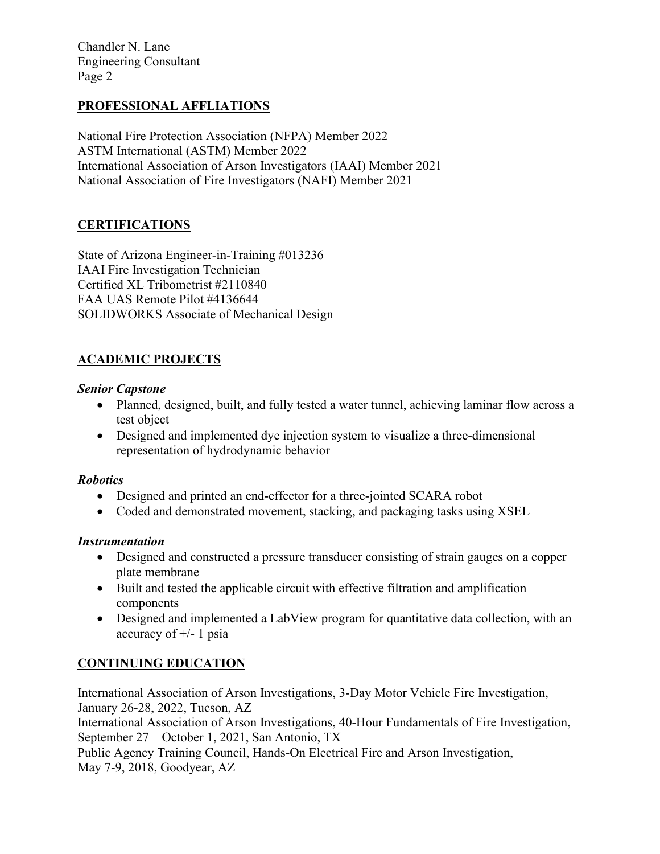Chandler N. Lane Engineering Consultant Page 2

# **PROFESSIONAL AFFLIATIONS**

National Fire Protection Association (NFPA) Member 2022 ASTM International (ASTM) Member 2022 International Association of Arson Investigators (IAAI) Member 2021 National Association of Fire Investigators (NAFI) Member 2021

# **CERTIFICATIONS**

State of Arizona Engineer-in-Training #013236 IAAI Fire Investigation Technician Certified XL Tribometrist #2110840 FAA UAS Remote Pilot #4136644 SOLIDWORKS Associate of Mechanical Design

# **ACADEMIC PROJECTS**

#### *Senior Capstone*

- Planned, designed, built, and fully tested a water tunnel, achieving laminar flow across a test object
- Designed and implemented dye injection system to visualize a three-dimensional representation of hydrodynamic behavior

#### *Robotics*

- Designed and printed an end-effector for a three-jointed SCARA robot
- Coded and demonstrated movement, stacking, and packaging tasks using XSEL

#### *Instrumentation*

- Designed and constructed a pressure transducer consisting of strain gauges on a copper plate membrane
- Built and tested the applicable circuit with effective filtration and amplification components
- Designed and implemented a LabView program for quantitative data collection, with an accuracy of  $+/- 1$  psia

## **CONTINUING EDUCATION**

International Association of Arson Investigations, 3-Day Motor Vehicle Fire Investigation, January 26-28, 2022, Tucson, AZ

International Association of Arson Investigations, 40-Hour Fundamentals of Fire Investigation, September 27 – October 1, 2021, San Antonio, TX

Public Agency Training Council, Hands-On Electrical Fire and Arson Investigation, May 7-9, 2018, Goodyear, AZ